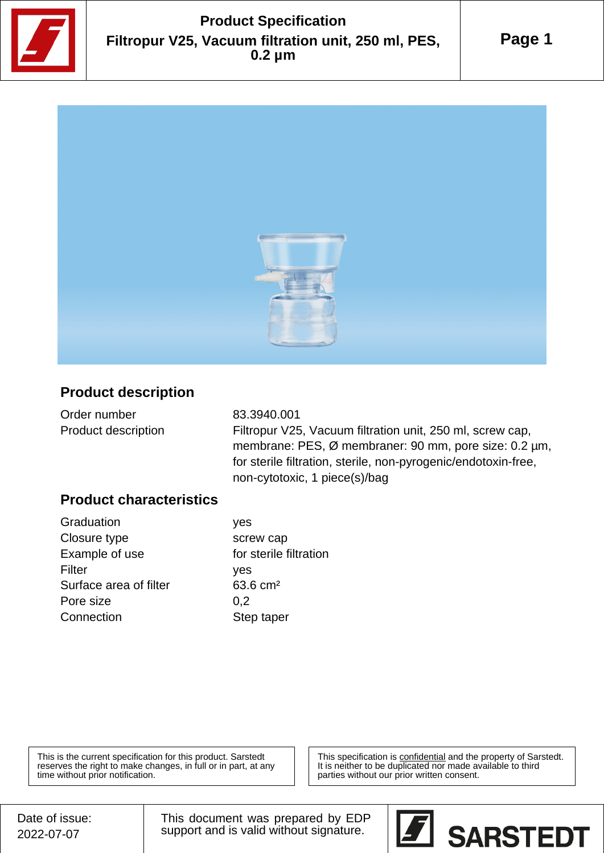

# **Product Specification Filtropur V25, Vacuum filtration unit, 250 ml, PES, 0.2 µm**

**Page 1**



#### **Product description**

| Order number               |  |
|----------------------------|--|
| <b>Product description</b> |  |

83.3940.001 Filtropur V25, Vacuum filtration unit, 250 ml, screw cap, membrane: PES, Ø membraner: 90 mm, pore size: 0.2 µm, for sterile filtration, sterile, non-pyrogenic/endotoxin-free, non-cytotoxic, 1 piece(s)/bag

#### **Product characteristics**

Graduation ves Closure type screw cap Example of use for sterile filtration Filter yes Surface area of filter 63.6 cm<sup>2</sup> Pore size 0,2 Connection Step taper

This is the current specification for this product. Sarstedt reserves the right to make changes, in full or in part, at any time without prior notification.

This specification is confidential and the property of Sarstedt. It is neither to be duplicated nor made available to third parties without our prior written consent.

This document was prepared by EDP support and is valid without signature.